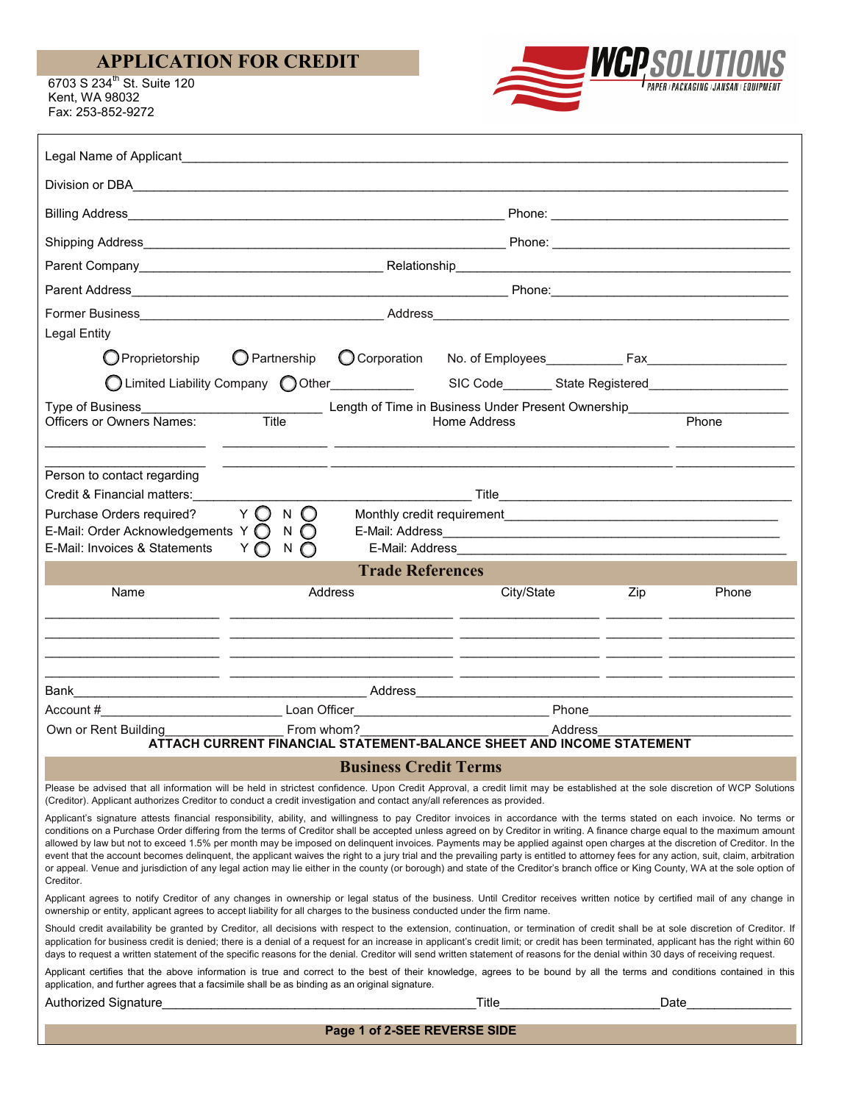## **APPLICATION FOR CREDIT**

6703 S 234<sup>th</sup> St. Suite 120 Kent, WA 98032 Fax: 253-852-9272



| Legal Name of Applicant<br>Legal Name of Applicant                                                                                                                                                                                                                                                                                                                                                                                                                                                                                                                                                                                                                                                                                                                                                                                                                                                                                    |                                                           |  |                                                                                                     |         |                                                                                                                                                                                                                                |  |
|---------------------------------------------------------------------------------------------------------------------------------------------------------------------------------------------------------------------------------------------------------------------------------------------------------------------------------------------------------------------------------------------------------------------------------------------------------------------------------------------------------------------------------------------------------------------------------------------------------------------------------------------------------------------------------------------------------------------------------------------------------------------------------------------------------------------------------------------------------------------------------------------------------------------------------------|-----------------------------------------------------------|--|-----------------------------------------------------------------------------------------------------|---------|--------------------------------------------------------------------------------------------------------------------------------------------------------------------------------------------------------------------------------|--|
|                                                                                                                                                                                                                                                                                                                                                                                                                                                                                                                                                                                                                                                                                                                                                                                                                                                                                                                                       |                                                           |  |                                                                                                     |         |                                                                                                                                                                                                                                |  |
|                                                                                                                                                                                                                                                                                                                                                                                                                                                                                                                                                                                                                                                                                                                                                                                                                                                                                                                                       |                                                           |  |                                                                                                     |         | Phone: The contract of the contract of the contract of the contract of the contract of the contract of the contract of the contract of the contract of the contract of the contract of the contract of the contract of the con |  |
|                                                                                                                                                                                                                                                                                                                                                                                                                                                                                                                                                                                                                                                                                                                                                                                                                                                                                                                                       |                                                           |  |                                                                                                     |         |                                                                                                                                                                                                                                |  |
|                                                                                                                                                                                                                                                                                                                                                                                                                                                                                                                                                                                                                                                                                                                                                                                                                                                                                                                                       |                                                           |  |                                                                                                     |         |                                                                                                                                                                                                                                |  |
|                                                                                                                                                                                                                                                                                                                                                                                                                                                                                                                                                                                                                                                                                                                                                                                                                                                                                                                                       |                                                           |  |                                                                                                     |         |                                                                                                                                                                                                                                |  |
|                                                                                                                                                                                                                                                                                                                                                                                                                                                                                                                                                                                                                                                                                                                                                                                                                                                                                                                                       |                                                           |  |                                                                                                     |         |                                                                                                                                                                                                                                |  |
| <b>Legal Entity</b>                                                                                                                                                                                                                                                                                                                                                                                                                                                                                                                                                                                                                                                                                                                                                                                                                                                                                                                   |                                                           |  |                                                                                                     |         |                                                                                                                                                                                                                                |  |
| Proprietorship                                                                                                                                                                                                                                                                                                                                                                                                                                                                                                                                                                                                                                                                                                                                                                                                                                                                                                                        | O Partnership C Corporation                               |  |                                                                                                     |         |                                                                                                                                                                                                                                |  |
|                                                                                                                                                                                                                                                                                                                                                                                                                                                                                                                                                                                                                                                                                                                                                                                                                                                                                                                                       |                                                           |  | ○Limited Liability Company ○Other____________  SIC Code_______State Registered_____________________ |         |                                                                                                                                                                                                                                |  |
| Type of Business<br>Officers or Owners Names:<br>Officers or Owners Names:<br>Title<br>Title<br>Title<br>Title<br>Title<br>The Dength of Time in Business Under Present Ownership<br>Home Address                                                                                                                                                                                                                                                                                                                                                                                                                                                                                                                                                                                                                                                                                                                                     |                                                           |  | Home Address                                                                                        |         | Phone                                                                                                                                                                                                                          |  |
| Person to contact regarding<br>Credit & Financial matters:<br>Purchase Orders required?<br>E-Mail: Order Acknowledgements Y O<br>E-Mail: Invoices & Statements                                                                                                                                                                                                                                                                                                                                                                                                                                                                                                                                                                                                                                                                                                                                                                        | Y O<br>N O<br>$N$ $\bigcirc$<br>Y $\bigcap$ $N$ $\bigcap$ |  | E-Mail: Address                                                                                     |         |                                                                                                                                                                                                                                |  |
| <b>Trade References</b>                                                                                                                                                                                                                                                                                                                                                                                                                                                                                                                                                                                                                                                                                                                                                                                                                                                                                                               |                                                           |  |                                                                                                     |         |                                                                                                                                                                                                                                |  |
| Name                                                                                                                                                                                                                                                                                                                                                                                                                                                                                                                                                                                                                                                                                                                                                                                                                                                                                                                                  | Address                                                   |  | City/State                                                                                          | Zip     | Phone                                                                                                                                                                                                                          |  |
|                                                                                                                                                                                                                                                                                                                                                                                                                                                                                                                                                                                                                                                                                                                                                                                                                                                                                                                                       |                                                           |  |                                                                                                     |         |                                                                                                                                                                                                                                |  |
|                                                                                                                                                                                                                                                                                                                                                                                                                                                                                                                                                                                                                                                                                                                                                                                                                                                                                                                                       |                                                           |  |                                                                                                     |         |                                                                                                                                                                                                                                |  |
| Bank                                                                                                                                                                                                                                                                                                                                                                                                                                                                                                                                                                                                                                                                                                                                                                                                                                                                                                                                  |                                                           |  |                                                                                                     |         |                                                                                                                                                                                                                                |  |
|                                                                                                                                                                                                                                                                                                                                                                                                                                                                                                                                                                                                                                                                                                                                                                                                                                                                                                                                       |                                                           |  |                                                                                                     |         |                                                                                                                                                                                                                                |  |
| Own or Rent Building                                                                                                                                                                                                                                                                                                                                                                                                                                                                                                                                                                                                                                                                                                                                                                                                                                                                                                                  | From whom?                                                |  |                                                                                                     | Address |                                                                                                                                                                                                                                |  |
| ATTACH CURRENT FINANCIAL STATEMENT-BALANCE SHEET AND INCOME STATEMENT                                                                                                                                                                                                                                                                                                                                                                                                                                                                                                                                                                                                                                                                                                                                                                                                                                                                 |                                                           |  |                                                                                                     |         |                                                                                                                                                                                                                                |  |
| <b>Business Credit Terms</b>                                                                                                                                                                                                                                                                                                                                                                                                                                                                                                                                                                                                                                                                                                                                                                                                                                                                                                          |                                                           |  |                                                                                                     |         |                                                                                                                                                                                                                                |  |
| Please be advised that all information will be held in strictest confidence. Upon Credit Approval, a credit limit may be established at the sole discretion of WCP Solutions<br>(Creditor). Applicant authorizes Creditor to conduct a credit investigation and contact any/all references as provided.                                                                                                                                                                                                                                                                                                                                                                                                                                                                                                                                                                                                                               |                                                           |  |                                                                                                     |         |                                                                                                                                                                                                                                |  |
| Applicant's signature attests financial responsibility, ability, and willingness to pay Creditor invoices in accordance with the terms stated on each invoice. No terms or<br>conditions on a Purchase Order differing from the terms of Creditor shall be accepted unless agreed on by Creditor in writing. A finance charge equal to the maximum amount<br>allowed by law but not to exceed 1.5% per month may be imposed on delinguent invoices. Payments may be applied against open charges at the discretion of Creditor. In the<br>event that the account becomes delinquent, the applicant waives the right to a jury trial and the prevailing party is entitled to attorney fees for any action, suit, claim, arbitration<br>or appeal. Venue and jurisdiction of any legal action may lie either in the county (or borough) and state of the Creditor's branch office or King County, WA at the sole option of<br>Creditor. |                                                           |  |                                                                                                     |         |                                                                                                                                                                                                                                |  |
| Applicant agrees to notify Creditor of any changes in ownership or legal status of the business. Until Creditor receives written notice by certified mail of any change in<br>ownership or entity, applicant agrees to accept liability for all charges to the business conducted under the firm name.                                                                                                                                                                                                                                                                                                                                                                                                                                                                                                                                                                                                                                |                                                           |  |                                                                                                     |         |                                                                                                                                                                                                                                |  |
| Should credit availability be granted by Creditor, all decisions with respect to the extension, continuation, or termination of credit shall be at sole discretion of Creditor. If<br>application for business credit is denied; there is a denial of a request for an increase in applicant's credit limit; or credit has been terminated, applicant has the right within 60<br>days to request a written statement of the specific reasons for the denial. Creditor will send written statement of reasons for the denial within 30 days of receiving request.                                                                                                                                                                                                                                                                                                                                                                      |                                                           |  |                                                                                                     |         |                                                                                                                                                                                                                                |  |
| Applicant certifies that the above information is true and correct to the best of their knowledge, agrees to be bound by all the terms and conditions contained in this<br>application, and further agrees that a facsimile shall be as binding as an original signature.                                                                                                                                                                                                                                                                                                                                                                                                                                                                                                                                                                                                                                                             |                                                           |  |                                                                                                     |         |                                                                                                                                                                                                                                |  |
|                                                                                                                                                                                                                                                                                                                                                                                                                                                                                                                                                                                                                                                                                                                                                                                                                                                                                                                                       |                                                           |  |                                                                                                     |         |                                                                                                                                                                                                                                |  |

**Page 1 of 2-SEE REVERSE SIDE**